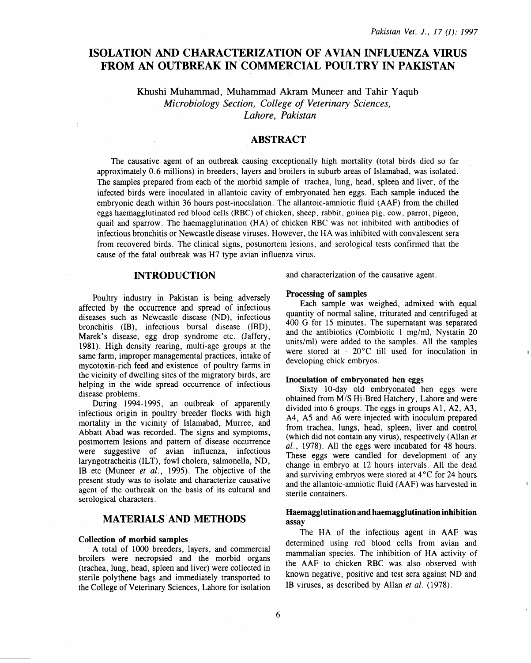# ISOLATION AND CHARACTERIZATION OF AVIAN INFLUENZA VIRUS FROM AN OUTBREAK IN COMMERCIAL POULTRY IN PAKISTAN

Khushi Muhammad, Muhammad Akram Muneer and Tahir Yaqub *Microbiology Section, College of Veterinary Sciences, Lahore, Pakistan* 

## ABSTRACT

The causative agent of an outbreak causing exceptionally high mortality (total birds died so far approximately 0.6 millions) in breeders, layers and broilers in suburb areas of Islamabad, was isolated. The samples prepared from each of the morbid sample of trachea, lung, head, spleen and liver, of the infected birds were inoculated in allantoic cavity of embryonated hen eggs. Each sample induced the embryonic death within 36 hours post-inoculation. The allantoic-amniotic fluid (AAF) from the chilled eggs haemagglutinated red blood cells (RBC) of chicken, sheep, rabbit, guinea pig, cow, parrot, pigeon, quail and sparrow. The haemagglutination (HA) of chicken RBC was not inhibited with antibodies of infectious bronchitis or Newcastle disease viruses. However, the HA was inhibited with convalescent sera from recovered birds. The clinical signs, postmortem lesions, and serological tests confirmed that the cause of the fatal outbreak was H7 type avian influenza virus.

## INTRODUCTION

Poultry industry in Pakistan is being adversely affected by the occurrence and spread of infectious diseases such as Newcastle disease (ND), infectious bronchitis (18), infectious bursal disease (IBD), Marek's disease, egg drop syndrome etc. (Jaffery, 1981). High density rearing, multi-age groups at the same farm, improper managemental practices, intake of mycotoxin-rich feed and existence of poultry farms in the vicinity of dwelling sites of the migratory birds, are helping in the wide spread occurrence of infectious disease problems.

During 1994-1995, an outbreak of apparently infectious origin in poultry breeder flocks with high mortality in the vicinity of Islamabad, Murree, and Abbatt Abad was recorded. The signs and symptoms, postmortem lesions and pattern of disease occurrence were suggestive of avian influenza, infectious laryngotracheitis (ILT), fowl cholera, salmonella, ND, IB etc {Muneer *et al.,* 1995). The objective of the present study was to isolate and characterize causative agent of the outbreak on the basis of its cultural and serological characters.

## MATERIALS' AND METHODS

#### Collection of morbid samples

A total of 1000 breeders, layers, and commercial broilers were necropsied and the morbid organs (trachea, lung, head, spleen and liver) were collected in sterile polythene bags and immediately transported to the College of Veterinary Sciences, Lahore for isolation and characterization of the causative agent.

#### Processing of samples

Each sample was weighed, admixed with equal quantity of normal saline, triturated and centrifuged at 400 G for 15 minutes. The supernatant was separated and the antibiotics (Combiotic 1 mg/ml, Nystatin 20 units/ml) were added to the samples. All the samples were stored at -  $20^{\circ}$ C till used for inoculation in developing chick embryos.

#### Inoculation of embryonated hen eggs

Sixty 10-day old embryonated hen eggs were obtained from *MIS* Hi-Bred Hatchery, Lahore and were divided into 6 groups. The eggs in groups Al, A2, A3, A4, AS and A6 were injected with inoculum prepared from trachea, lungs, head, spleen, liver and control (which did not contain any virus), respectively (Allan *et al.,* 1978). All the eggs were incubated for 48 hours. These eggs were candled for development of any change in embryo at 12 hours intervals. All the dead and surviving embryos were stored at  $4^{\circ}$ C for 24 hours and the allantoic-amniotic fluid (AAF) was harvested in sterile containers.

### Haemagglutination and haemagglutination inhibition assay

The HA of the infectious agent in AAF was determined using red blood cells from avian and mammalian species. The inhibition of HA activity of the AAF to chicken RBC was also observed with known negative, positive and test sera against ND and IB viruses, as described by Allan *et al.* (1978).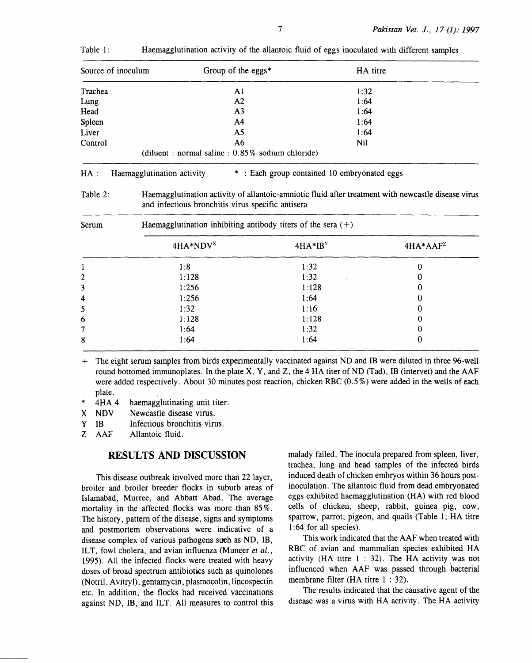| Source of inoculum | Group of the eggs $*$                                | HA titre |  |
|--------------------|------------------------------------------------------|----------|--|
| Trachea            | A1                                                   | 1:32     |  |
| Lung               | A2                                                   | 1:64     |  |
| Head               | A <sub>3</sub>                                       | 1:64     |  |
| Spleen             | A4                                                   | 1:64     |  |
| Liver              | A5                                                   | 1:64     |  |
| Control            | A6                                                   | Nil      |  |
|                    | (diluent : normal saline : $0.85\%$ sodium chloride) |          |  |

Table 1: Haemagglutination activity of the allantoic fluid of eggs inoculated with different samples

## HA : Haemagglutination activity \* : Each group contained 10 embryonated eggs

Table 2: Haemagglutination activity of allantoic-amniotic fluid after treatment with newcastle disease virus and infectious bronchitis virus specific antisera

| Serum          | Haemagglutination inhibiting antibody titers of the sera $(+)$ |           |            |  |
|----------------|----------------------------------------------------------------|-----------|------------|--|
|                | $4HA*NDVX$                                                     | $4HA*IBY$ | $4HA*AAF2$ |  |
|                | 1:8                                                            | 1:32      |            |  |
| $\overline{c}$ | 1:128                                                          | 1:32      |            |  |
| 3              | 1:256                                                          | 1:128     |            |  |
| 4              | 1:256                                                          | 1:64      |            |  |
| 5              | 1:32                                                           | 1:16      |            |  |
| 6              | 1:128                                                          | 1:128     |            |  |
| 7              | 1:64                                                           | 1:32      |            |  |
| 8              | 1:64                                                           | 1:64      |            |  |

+ The eight serum samples from birds experimentally vaccinated against NO and IB were diluted in three 96-well round bottomed immunoplates. In the plate X, Y, and Z, the 4 HA titer of ND (Tad), IB (intervet) and the AAF were added respectively. About 30 minutes post reaction, chicken RBC (0.5%) were added in the wells of each plate.

- \* 4HA 4 haemagglutinating unit titer.<br>X NDV Newcastle disease virus.
- Newcastle disease virus.
- Y IB Infectious bronchitis virus.

Z AAF Allantoic fluid.

## **RESULTS AND DISCUSSION**

This disease outbreak involved more than 22 layer, broiler and broiler breeder flocks in suburb areas of Islamabad, Murree, and Abbatt Abad. The average mortality in the affected flocks was more than 85% . The history, pattern of the disease, signs and symptoms and postmortem observations were indicative of a disease complex of various pathogens such as NO, IB, ILT, fowl cholera, and avian influenza (Muneer *et al.,*  1995). All the infected flocks were treated with heavy doses of broad spectrum antibiotics such as quinolones (Notril, Avitryl), gentamycin, plasmocolin, lincospectin etc. In addition, the flocks had received vaccinations against NO, IB, and ILT. All measures to control this malady failed. The inocula prepared from spleen, liver, trachea, lung and head samples of the infected birds induced death of chicken embryos within 36 hours postinoculation. The allantoic fluid from dead embryonated eggs exhibited haemagglutination (HA) with red blood cells of chicken, sheep, rabbit, guinea pig, cow, sparrow, parrot, pigeon, and quails (Table 1; HA titre 1:64 for all species).

This work indicated that the AAF when treated with RBC of avian and mammalian species exhibited HA activity (HA titre  $1 : 32$ ). The HA activity was not influenced when AAF was passed through bacterial membrane filter (HA titre 1 : 32).

The results indicated that the causative agent of the disease was a virus with HA activity. The HA activity